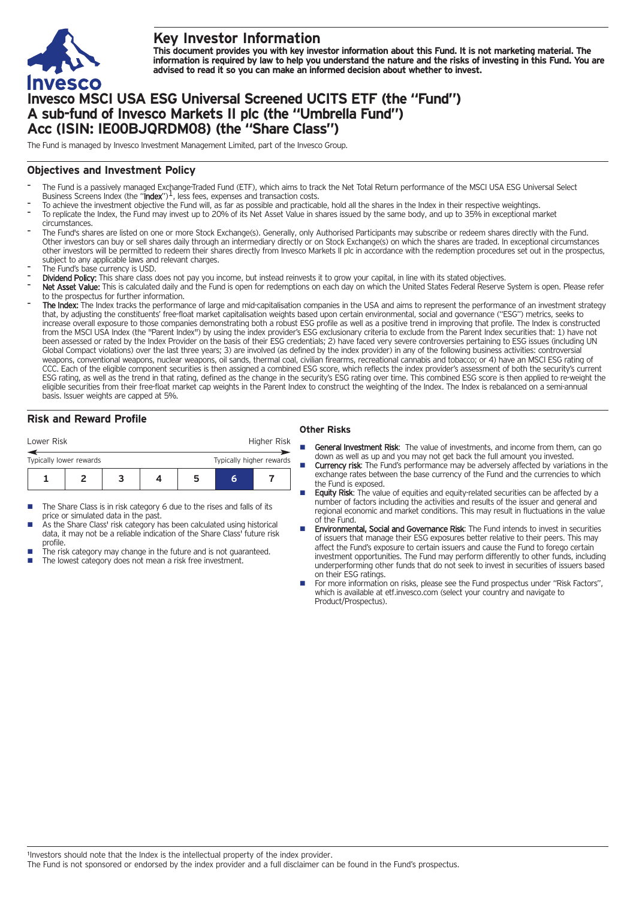

# **Key Investor Information**

This document provides you with key investor information about this Fund. It is not marketing material. The information is required by law to help you understand the nature and the risks of investing in this Fund. You are **advised to read it so you can make an informed decision about whether to invest.**

# **Invesco MSCI USA ESG Universal Screened UCITS ETF (the "Fund") A sub-fund of Invesco Markets II plc (the "Umbrella Fund") Acc (ISIN: IE00BJQRDM08) (the "Share Class")**

The Fund is managed by Invesco Investment Management Limited, part of the Invesco Group.

### **Objectives and Investment Policy**

- The Fund is a passively managed Exchange-Traded Fund (ETF), which aims to track the Net Total Return performance of the MSCI USA ESG Universal Select<br>Business Screens Index (the "I**ndex**")<sup>1</sup>, less fees, expenses and trans
- To achieve the investment objective the Fund will, as far as possible and practicable, hold all the shares in the Index in their respective weightings.
- To replicate the Index, the Fund may invest up to 20% of its Net Asset Value in shares issued by the same body, and up to 35% in exceptional market circumstances.
- The Fund's shares are listed on one or more Stock Exchange(s). Generally, only Authorised Participants may subscribe or redeem shares directly with the Fund. Other investors can buy or sell shares daily through an intermediary directly or on Stock Exchange(s) on which the shares are traded. In exceptional circumstances other investors will be permitted to redeem their shares directly from Invesco Markets II plc in accordance with the redemption procedures set out in the prospectus, subject to any applicable laws and relevant charges.
- The Fund's base currency is USD.
- Dividend Policy: This share class does not pay you income, but instead reinvests it to grow your capital, in line with its stated objectives.
- Net Asset Value: This is calculated daily and the Fund is open for redemptions on each day on which the United States Federal Reserve System is open. Please refer to the prospectus for further information.
- The Index: The Index tracks the performance of large and mid-capitalisation companies in the USA and aims to represent the performance of an investment strategy that, by adjusting the constituents' free-float market capitalisation weights based upon certain environmental, social and governance ("ESG") metrics, seeks to increase overall exposure to those companies demonstrating both a robust ESG profile as well as a positive trend in improving that profile. The Index is constructed from the MSCI USA Index (the "Parent Index") by using the index provider's ESG exclusionary criteria to exclude from the Parent Index securities that: 1) have not been assessed or rated by the Index Provider on the basis of their ESG credentials; 2) have faced very severe controversies pertaining to ESG issues (including UN Global Compact violations) over the last three years; 3) are involved (as defined by the index provider) in any of the following business activities: controversial weapons, conventional weapons, nuclear weapons, oil sands, thermal coal, civilian firearms, recreational cannabis and tobacco; or 4) have an MSCI ESG rating of CCC. Each of the eligible component securities is then assigned a combined ESG score, which reflects the index provider's assessment of both the security's current ESG rating, as well as the trend in that rating, defined as the change in the security's ESG rating over time. This combined ESG score is then applied to re-weight the eligible securities from their free-float market cap weights in the Parent Index to construct the weighting of the Index. The Index is rebalanced on a semi-annual basis. Issuer weights are capped at 5%.

# **Risk and Reward Profile**

|                                                     | Higher Risk<br>Lower Risk |  |  |  |   |   |  |  |
|-----------------------------------------------------|---------------------------|--|--|--|---|---|--|--|
| Typically higher rewards<br>Typically lower rewards |                           |  |  |  |   |   |  |  |
|                                                     |                           |  |  |  | כ | h |  |  |

- The Share Class is in risk category 6 due to the rises and falls of its price or simulated data in the past.
- As the Share Class' risk category has been calculated using historical data, it may not be a reliable indication of the Share Class' future risk profile.
- The risk category may change in the future and is not guaranteed.
- The lowest category does not mean a risk free investment.

#### **Other Risks**

- General Investment Risk: The value of investments, and income from them, can go down as well as up and you may not get back the full amount you invested.
- Currency risk: The Fund's performance may be adversely affected by variations in the exchange rates between the base currency of the Fund and the currencies to which the Fund is exposed.
- **Equity Risk:** The value of equities and equity-related securities can be affected by a number of factors including the activities and results of the issuer and general and regional economic and market conditions. This may result in fluctuations in the value of the Fund.
- **Environmental, Social and Governance Risk:** The Fund intends to invest in securities of issuers that manage their ESG exposures better relative to their peers. This may affect the Fund's exposure to certain issuers and cause the Fund to forego certain investment opportunities. The Fund may perform differently to other funds, including underperforming other funds that do not seek to invest in securities of issuers based on their ESG ratings.
- For more information on risks, please see the Fund prospectus under "Risk Factors", which is available at etf.invesco.com (select your country and navigate to Product/Prospectus).